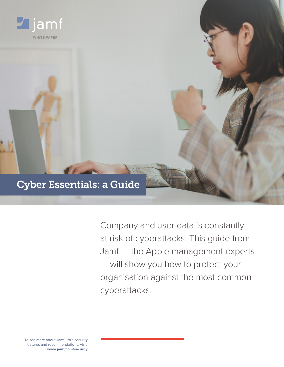

Company and user data is constantly at risk of cyberattacks. This guide from Jamf — the Apple management experts — will show you how to protect your organisation against the most common cyberattacks.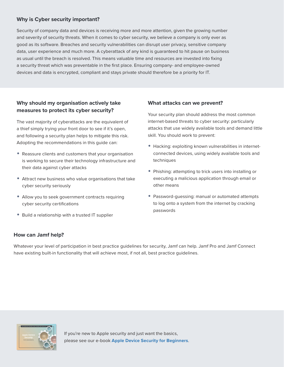# **Why is Cyber security important?**

Security of company data and devices is receiving more and more attention, given the growing number and severity of security threats. When it comes to cyber security, we believe a company is only ever as good as its software. Breaches and security vulnerabilities can disrupt user privacy, sensitive company data, user experience and much more. A cyberattack of any kind is guaranteed to hit pause on business as usual until the breach is resolved. This means valuable time and resources are invested into fixing a security threat which was preventable in the first place. Ensuring company- and employee-owned devices and data is encrypted, compliant and stays private should therefore be a priority for IT.

# **Why should my organisation actively take measures to protect its cyber security?**

The vast majority of cyberattacks are the equivalent of a thief simply trying your front door to see if it's open, and following a security plan helps to mitigate this risk. Adopting the recommendations in this guide can:

- Reassure clients and customers that your organisation is working to secure their technology infrastructure and their data against cyber attacks
- Attract new business who value organisations that take cyber security seriously
- Allow you to seek government contracts requiring cyber security certifications
- Build a relationship with a trusted IT supplier

### **What attacks can we prevent?**

Your security plan should address the most common internet-based threats to cyber security: particularly attacks that use widely available tools and demand little skill. You should work to prevent:

- Hacking: exploiting known vulnerabilities in internetconnected devices, using widely available tools and techniques
- Phishing: attempting to trick users into installing or executing a malicious application through email or other means
- Password-guessing: manual or automated attempts to log onto a system from the internet by cracking passwords

# **How can Jamf help?**

Whatever your level of participation in best practice guidelines for security, Jamf can help. Jamf Pro and Jamf Connect have existing built-in functionality that will achieve most, if not all, best practice guidelines.

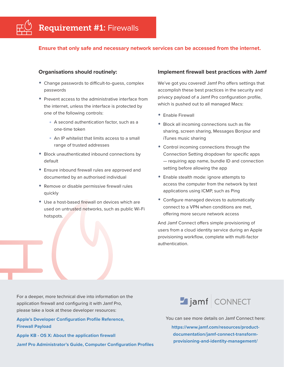

#### **Ensure that only safe and necessary network services can be accessed from the internet.**

#### **Organisations should routinely:**

- Change passwords to difficult-to-guess, complex passwords
- Prevent access to the administrative interface from the internet, unless the interface is protected by one of the following controls:
	- A second authentication factor, such as a one-time token
	- An IP whitelist that limits access to a small range of trusted addresses
- Block unauthenticated inbound connections by default
- Ensure inbound firewall rules are approved and documented by an authorised individual
- Remove or disable permissive firewall rules quickly
- Use a host-based firewall on devices which are used on untrusted networks, such as public Wi-Fi hotspots.

#### **Implement firewall best practices with Jamf**

We've got you covered! Jamf Pro offers settings that accomplish these best practices in the security and privacy payload of a Jamf Pro configuration profile, which is pushed out to all managed Macs:

- Enable Firewall
- Block all incoming connections such as file sharing, screen sharing, Messages Bonjour and iTunes music sharing
- Control incoming connections through the Connection Setting dropdown for specific apps — requiring app name, bundle ID and connection setting before allowing the app
- Enable stealth mode: ignore attempts to access the computer from the network by test applications using ICMP, such as Ping
- Configure managed devices to automatically connect to a VPN when conditions are met, offering more secure network access

And Jamf Connect offers simple provisioning of users from a cloud identity service during an Apple provisioning workflow, complete with multi-factor authentication.

For a deeper, more technical dive into information on the application firewall and configuring it with Jamf Pro, please take a look at these developer resources:

**[Apple's Developer Configuration Profile Reference,](https://developer.apple.com/business/documentation/Configuration-Profile-Reference.pdf#page=44)  [Firewall Payload](https://developer.apple.com/business/documentation/Configuration-Profile-Reference.pdf#page=44)**

**[Apple KB - OS X: About the application firewall](https://support.apple.com/en-gb/HT201642) [Jamf Pro Administrator's Guide, Computer Configuration Profiles](https://docs.jamf.com/10.11.0/jamf-pro/administrator-guide/Computer_Configuration_Profiles.html)** Jamf CONNECT

You can see more details on Jamf Connect here:

**[https://www.jamf.com/resources/product](https://www.jamf.com/resources/product-documentation/jamf-connect-transform-provisioning-and-identity-management/)[documentation/jamf-connect-transform](https://www.jamf.com/resources/product-documentation/jamf-connect-transform-provisioning-and-identity-management/)[provisioning-and-identity-management/](https://www.jamf.com/resources/product-documentation/jamf-connect-transform-provisioning-and-identity-management/)**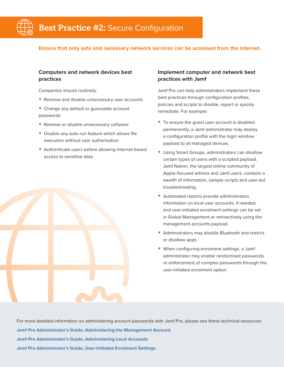

#### **Ensure that only safe and necessary network services can be accessed from the internet.**

### **Computers and network devices best practices**

Companies should routinely:

- Remove and disable unnecessary user accounts
- Change any default or guessable account passwords
- Remove or disable unnecessary software
- Disable any auto-run feature which allows file execution without user authorisation
- Authenticate users before allowing internet-based access to sensitive data

#### **Implement computer and network best practices with Jamf**

Jamf Pro can help administrators implement these best practices through configuration profiles, policies and scripts to disable, report or quickly remediate. For example:

- To ensure the guest user account is disabled permanently, a Jamf administrator may deploy a configuration profile with the login window payload to all managed devices.
- Using Smart Groups, administrators can disallow certain types of users with a scripted payload. [Jamf Nation,](https://www.jamf.com/jamf-nation/) the largest online community of Apple-focused admins and Jamf users, contains a wealth of information, sample scripts and user-led troubleshooting.
- Automated reports provide administrators information on local user accounts, if needed, and user-initiated enrolment settings can be set in Global Management or retroactively using the management accounts payload.
- Administrators may disable Bluetooth and restrict or disallow apps.
- When configuring enrolment settings, a Jamf administrator may enable randomised passwords or enforcement of complex passwords through the user-initiated enrolment option.

For more detailed information on administering account passwords with Jamf Pro, please see these technical resources: **[Jamf Pro Administrator's Guide, Administering the Management Account](https://docs.jamf.com/10.11.0/jamf-pro/administrator-guide/Administering_the_Management_Account.html) [Jamf Pro Administrator's Guide, Administering Local Accounts](https://docs.jamf.com/10.14.0/jamf-pro/administrator-guide/Administering_Local_Accounts.html) [Jamf Pro Administrator's Guide, User-Initiated Enrolment Settings](https://docs.jamf.com/10.11.0/jamf-pro/administrator-guide/User-Initiated_Enrollment_Settings.html)**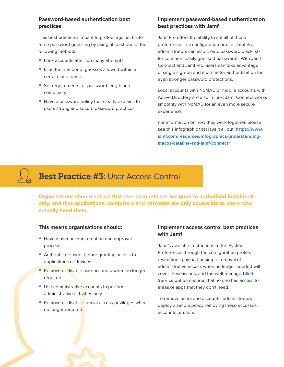# **Password-based authentication best practices**

This best practice is meant to protect against bruteforce password guessing by using at least one of the following methods:

- Lock accounts after too many attempts
- Limit the number of guesses allowed within a certain time frame
- Set requirements for password length and complexity
- Have a password policy that clearly explains to users strong and secure password practices

# **Implement password-based authentication best practices with Jamf**

Jamf Pro offers the ability to set all of these preferences in a configuration profile. Jamf Pro administrators can also create password blacklists for common, easily guessed passwords. With Jamf Connect and Jamf Pro, users can take advantage of single sign-on and multi-factor authentication for even stronger password protections.

Local accounts with NoMAD or mobile accounts with Active Directory are also in luck: Jamf Connect works smoothly with NoMAD for an even more secure experience.

For information on how they work together, please see this infographic that lays it all out: **[https://www.](https://www.jamf.com/resources/infographics/understanding-macos-catalina-and-jamf-connect/) [jamf.com/resources/infographics/understanding](https://www.jamf.com/resources/infographics/understanding-macos-catalina-and-jamf-connect/)[macos-catalina-and-jamf-connect/](https://www.jamf.com/resources/infographics/understanding-macos-catalina-and-jamf-connect/)**

# Best Practice #3: User Access Control

**Organisations should ensure that user accounts are assigned to authorised individuals only, and that applications, computers and networks are only accessible to users who actually need them.**

#### **This means organisations should:**

- Have a user account creation and approval process
- Authenticate users before granting access to applications or devices
- Remove or disable user accounts when no longer required
- Use administrative accounts to perform administrative activities only
- Remove or disable special access privileges when no longer required

### **Implement access control best practices with Jamf**

Jamf's available restrictions to the System Preferences through the configuration profile, restrictions payload or simple removal of administrative access when no longer needed will cover these issues, and the well-managed **[Self](https://www.jamf.com/products/jamf-pro/self-service/)  [Service](https://www.jamf.com/products/jamf-pro/self-service/)** option ensures that no one has access to areas or apps that they don't need.

To remove users and accounts, administrators deploy a simple policy removing these accesses, accounts or users.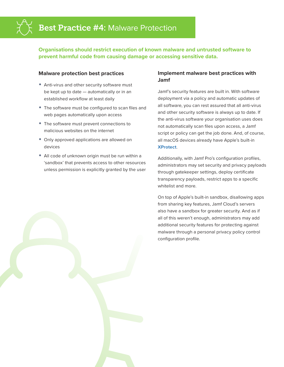

**Organisations should restrict execution of known malware and untrusted software to prevent harmful code from causing damage or accessing sensitive data.**

#### **Malware protection best practices**

- Anti-virus and other security software must be kept up to date — automatically or in an established workflow at least daily
- The software must be configured to scan files and web pages automatically upon access
- The software must prevent connections to malicious websites on the internet
- Only approved applications are allowed on devices
- All code of unknown origin must be run within a 'sandbox' that prevents access to other resources unless permission is explicitly granted by the user

### **Implement malware best practices with Jamf**

Jamf's security features are built in. With software deployment via a policy and automatic updates of all software, you can rest assured that all anti-virus and other security software is always up to date. If the anti-virus software your organisation uses does not automatically scan files upon access, a Jamf script or policy can get the job done. And, of course, all macOS devices already have Apple's built-in **[XProtect](https://www.apple.com/business/resources/docs/macOS_Security_Overview.pdf)**.

Additionally, with Jamf Pro's configuration profiles, administrators may set security and privacy payloads through gatekeeper settings, deploy certificate transparency payloads, restrict apps to a specific whitelist and more.

On top of Apple's built-in sandbox, disallowing apps from sharing key features, Jamf Cloud's servers also have a sandbox for greater security. And as if all of this weren't enough, administrators may add additional security features for protecting against malware through a personal privacy policy control configuration profile.